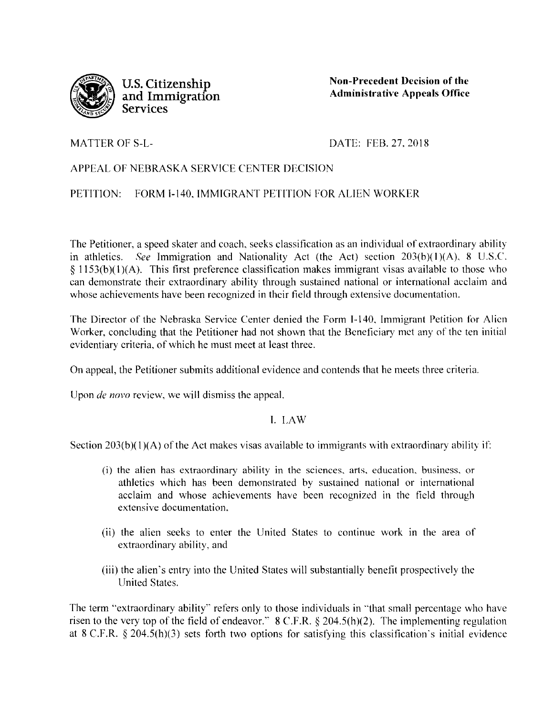

**U.S. Citizenship and Immigration Services** 

**Non-Precedent Decision of the Administrative Appeals Office** 

MATTER OF S-L-

DATE: FEB. 27. 2018

## APPEAL OF NEBRASKA SERVICE CENTER DECISION

PETITION: FORM 1-140. IMMIGRANT PETITION FOR ALIEN WORKER

The Petitioner, a speed skater and coach. seeks classification as an individual of extraordinary ability in athletics. *See* Immigration and Nationality Act (the Act) section 203(b)(1)(A), 8 U.S.C.  $§$  1153(b)(1)(A). This first preference classification makes immigrant visas available to those who can demonstrate their extraordinary ability through sustained national or international acclaim and whose achievements have been recognized in their field through extensive documentation.

The Director of the Nebraska Service Center denied the Form 1-140. Immigrant Petition for Alien Worker, concluding that the Petitioner had not shown that the Beneficiary met any of the ten initial evidentiary criteria. of which he must meet at least three.

On appeal, the Petitioner submits additional evidence and contends that he meets three criteria.

Upon *de novo* review, we will dismiss the appeal.

## I. LAW

Section  $203(b)(1)(A)$  of the Act makes visas available to immigrants with extraordinary ability if:

- (i) the alien has extraordinary ability in the sciences. arts. education. business. or athletics which has been demonstrated by sustained national or international acclaim and whose achievements have been recognized in the field through extensive documentation.
- (ii) the alien seeks to enter the United States to continue work in the area of extraordinary ability, and
- (iii) the alien's entry into the United States will substantially benefit prospectively the United States.

The term "extraordinary ability'' refers only to those individuals in "'that small percentage who have risen to the very top of the field of endeavor."  $8 \text{ C.F.R.}$   $\S 204.5(h)(2)$ . The implementing regulation at 8 C.F.R.  $\S$  204.5(h)(3) sets forth two options for satisfying this classification's initial evidence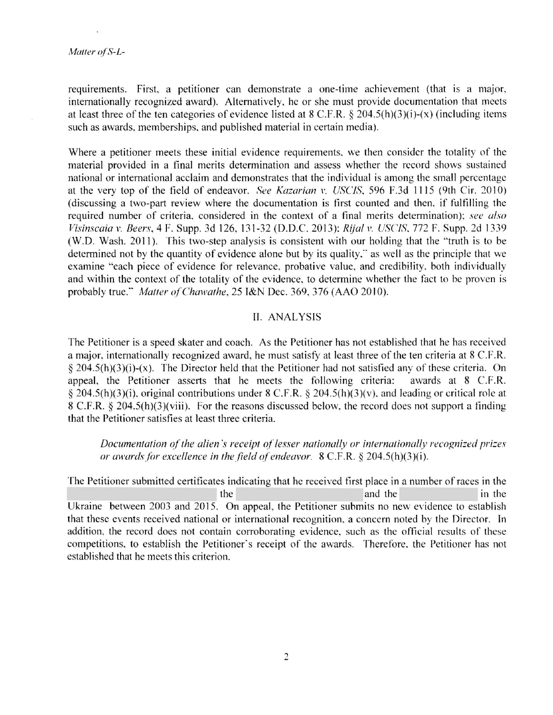.

requirements. First, a petitioner can demonstrate a one-time achievement (that is a major, internationally recognized award). Alternatively, he or she must provide documentation that meets at least three of the ten categories of evidence listed at 8 C.F.R. *§* 204.5(h)(3 )(i)-(x) (including items such as awards, memberships, and published material in certain media).

Where a petitioner meets these initial evidence requirements. we then consider the totality of the material provided in a final merits determination and assess whether the record shows sustained national or international acclaim and demonstrates that the individual is among the small percentage at the very top of the field of endeavor. *See Kazarian v. USCIS*, 596 F.3d 1115 (9th Cir. 2010) (discussing a two-part review where the documentation is first counted and then. if fulfilling the required number of criteria. considered in the context of a tina! merits determination); *see also Visinscaia v. Beers,* 4 F. Supp. 3d 126, 131-32 (D.D.C. 2013): *Rijalv. USCIS.* 772 F. Supp. 2d 1339 (W.D. Wash. 2011). This two-step analysis is consistent with our holding that the "truth is to be determined not by the quantity of evidence alone but by its quality," as well as the principle that we examine "each piece of evidence for relevance, probative value, and credibility. both individually and within the context of the totality of the evidence, to determine whether the fact to be proven is probably true." *Matter of Chawathe, 25 I&N Dec. 369, 376 (AAO 2010).* 

## II. ANALYSIS

The Petitioner is a speed skater and coach. As the Petitioner has not established that he has received a major, internationally recognized award, he must satisfy at least three of the ten criteria at 8 C.F.R. § 204.5(h)(3)(i)-(x). The Director held that the Petitioner had not satisfied any of these criteria. On appeal, the Petitioner asserts that he meets the following criteria: awards at  $8$  C.F.R.  $\S 204.5(h)(3)(i)$ , original contributions under 8 C.F.R.  $\S 204.5(h)(3)(v)$ , and leading or critical role at 8 C.F.R. § 204.5(h)(3)(viii). For the reasons discussed below, the record does not support a tinding that the Petitioner satisfies at least three criteria.

*Documentation of the alien's receipt of lesser nationally or internationally recognized prizes or awards for excellence in the field of' endeavor.* 8 C.F.R. § 204.5(h)(3 )(i).

The Petitioner submitted certificates indicating that he received tirst place in a number of races in the the interval contract and the interval contract and the interval contract and the interval contract of  $\mathbf{r}$ Ukraine between 2003 and 2015. On appeal, the Petitioner submits no new evidence to establish that these events received national or international recognition, a concern noted by the Director. ln addition, the record does not contain corroborating evidence, such as the official results of these competitions, to establish the Petitioner's receipt of the awards. Therefore. the Petitioner has not established that he meets this criterion.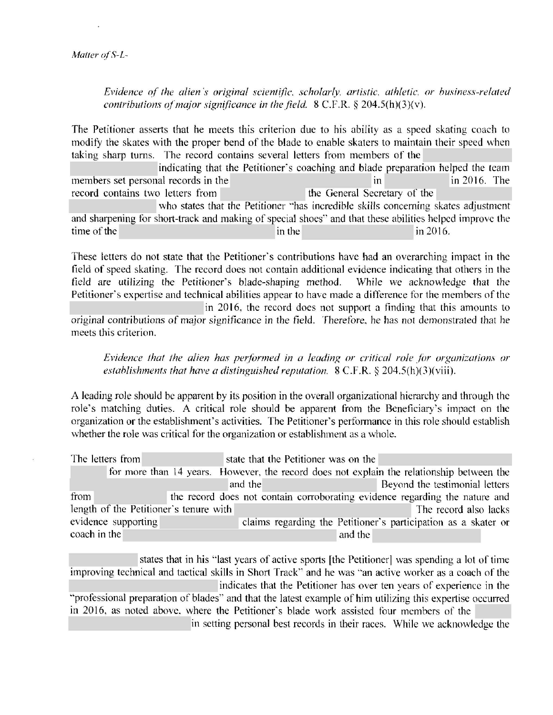.

*Evidence of the alien's original scientific, scholarly, artistic, athletic, or business-related contributions of major significance in the field.* 8 C.F.R. § 204.5(h)(3)(v).

The Petitioner asserts that he meets this criterion due to his ability as a speed skating coach to modify the skates with the proper bend of the blade to enable skaters to maintain their speed \vhen taking sharp turns. The record contains several letters from members of the

indicating that the Petitioner's coaching and blade preparation helped the team members set personal records in the m in 2016. The m in 2016. The record contains two letters from the General Secretary of the who states that the Petitioner ''has incredible skills concerning skates adjustment and sharpening tor short-track and making of special shoes" and that these abilities helped improve the time of the in the in the in 2016.

These letters do not state that the Petitioner's contributions have had an overarching impact in the tield of speed skating. The record does not contain additional evidence indicating that others in the field are utilizing the Petitioner's blade-shaping method. While we acknowledge that the Petitioner's expertise and technical abilities appear to have made a difference for the members of the in 2016, the record does not support a finding that this amounts to original contributions of major significance in the field. Therefore. he has not demonstrated that he meets this criterion.

*Evidence that the alien has performed in a leading or critical role for organizations or establishments that have a distinguished reputation.* 8 C.F.R. § 204.5(h)(3)(viii).

*A* leading role should be apparent by its position in the overall organizational hierarchy and through the role's matching duties. *A* critical role should be apparent from the Beneficiary's impact on the organization or the establishment's activities. The Petitioner's performance in this role should establish whether the role was critical for the organization or establishment as a whole.

| The letters from                       |                     |  |  |  |  |         |  | state that the Petitioner was on the |                                                                                           |  |  |  |                       |                                |  |
|----------------------------------------|---------------------|--|--|--|--|---------|--|--------------------------------------|-------------------------------------------------------------------------------------------|--|--|--|-----------------------|--------------------------------|--|
|                                        |                     |  |  |  |  |         |  |                                      | for more than 14 years. However, the record does not explain the relationship between the |  |  |  |                       |                                |  |
|                                        |                     |  |  |  |  | and the |  |                                      |                                                                                           |  |  |  |                       | Beyond the testimonial letters |  |
| from                                   |                     |  |  |  |  |         |  |                                      | the record does not contain corroborating evidence regarding the nature and               |  |  |  |                       |                                |  |
| length of the Petitioner's tenure with |                     |  |  |  |  |         |  |                                      |                                                                                           |  |  |  | The record also lacks |                                |  |
|                                        | evidence supporting |  |  |  |  |         |  |                                      | claims regarding the Petitioner's participation as a skater or                            |  |  |  |                       |                                |  |
| coach in the                           |                     |  |  |  |  |         |  |                                      | and the                                                                                   |  |  |  |                       |                                |  |

states that in his "last years of active sports [the Petitioner] was spending a lot of time improving technical and tactical skills in Short Track" and he was "an active worker as a coach of the indicates that the Petitioner has over ten years of experience in the "professional preparation of blades" and that the latest example of him utilizing this expertise occurred in 2016, as noted above. where the Petitioner's blade work assisted tour members of the in setting personal best records in their races. While we acknowledge the